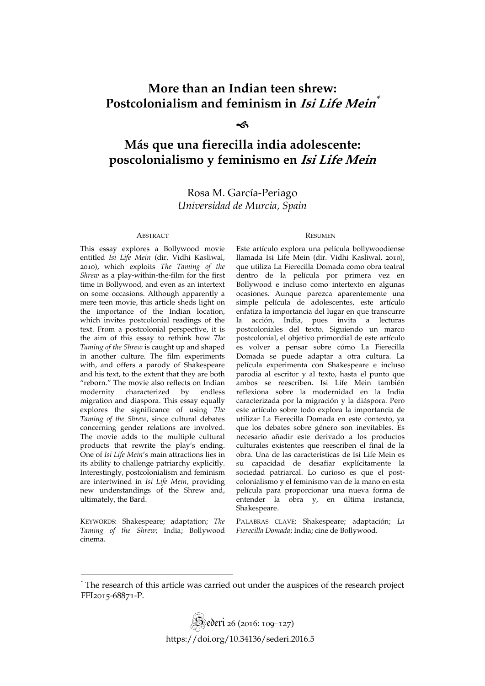# **More than an Indian teen shrew: Postcolonialism and feminism in Isi Life Mein \***

#### ∽

# **Más que una fierecilla india adolescente: poscolonialismo y feminismo en Isi Life Mein**

Rosa M. García-Periago *Universidad de Murcia, Spain* 

#### ABSTRACT RESUMEN

This essay explores a Bollywood movie entitled *Isi Life Mein* (dir. Vidhi Kasliwal, 2010), which exploits *The Taming of the Shrew* as a play-within-the-film for the first time in Bollywood, and even as an intertext on some occasions. Although apparently a mere teen movie, this article sheds light on the importance of the Indian location, which invites postcolonial readings of the text. From a postcolonial perspective, it is the aim of this essay to rethink how *The Taming of the Shrew* is caught up and shaped in another culture. The film experiments with, and offers a parody of Shakespeare and his text, to the extent that they are both "reborn." The movie also reflects on Indian modernity characterized by endless migration and diaspora. This essay equally explores the significance of using *The Taming of the Shrew*, since cultural debates concerning gender relations are involved. The movie adds to the multiple cultural products that rewrite the play's ending. One of *Isi Life Mein*'s main attractions lies in its ability to challenge patriarchy explicitly. Interestingly, postcolonialism and feminism are intertwined in *Isi Life Mein*, providing new understandings of the Shrew and, ultimately, the Bard.

KEYWORDS: Shakespeare; adaptation; *The Taming of the Shrew*; India; Bollywood cinema.

Este artículo explora una película bollywoodiense llamada Isi Life Mein (dir. Vidhi Kasliwal, 2010), que utiliza La Fierecilla Domada como obra teatral dentro de la película por primera vez en Bollywood e incluso como intertexto en algunas ocasiones. Aunque parezca aparentemente una simple película de adolescentes, este artículo enfatiza la importancia del lugar en que transcurre la acción, India, pues invita a lecturas postcoloniales del texto. Siguiendo un marco postcolonial, el objetivo primordial de este artículo es volver a pensar sobre cómo La Fierecilla Domada se puede adaptar a otra cultura. La película experimenta con Shakespeare e incluso parodia al escritor y al texto, hasta el punto que ambos se reescriben. Isi Life Mein también reflexiona sobre la modernidad en la India caracterizada por la migración y la diáspora. Pero este artículo sobre todo explora la importancia de utilizar La Fierecilla Domada en este contexto, ya que los debates sobre género son inevitables. Es necesario añadir este derivado a los productos culturales existentes que reescriben el final de la obra. Una de las características de Isi Life Mein es su capacidad de desafiar explícitamente la sociedad patriarcal. Lo curioso es que el postcolonialismo y el feminismo van de la mano en esta película para proporcionar una nueva forma de entender la obra y, en última instancia, Shakespeare.

PALABRAS CLAVE: Shakespeare; adaptación; *La Fierecilla Domada*; India; cine de Bollywood.

<sup>\*</sup> The research of this article was carried out under the auspices of the research project FFI2015-68871-P.

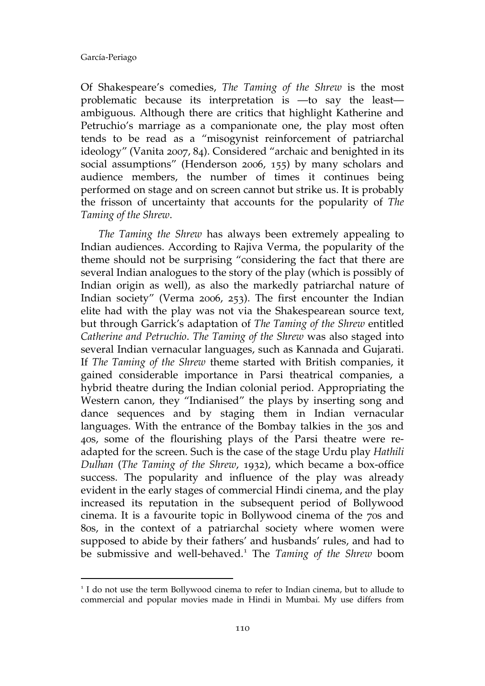$\overline{a}$ 

Of Shakespeare's comedies, *The Taming of the Shrew* is the most problematic because its interpretation is —to say the least ambiguous. Although there are critics that highlight Katherine and Petruchio's marriage as a companionate one, the play most often tends to be read as a "misogynist reinforcement of patriarchal ideology" (Vanita 2007, 84). Considered "archaic and benighted in its social assumptions" (Henderson 2006, 155) by many scholars and audience members, the number of times it continues being performed on stage and on screen cannot but strike us. It is probably the frisson of uncertainty that accounts for the popularity of *The Taming of the Shrew*.

*The Taming the Shrew* has always been extremely appealing to Indian audiences. According to Rajiva Verma, the popularity of the theme should not be surprising "considering the fact that there are several Indian analogues to the story of the play (which is possibly of Indian origin as well), as also the markedly patriarchal nature of Indian society" (Verma 2006, 253). The first encounter the Indian elite had with the play was not via the Shakespearean source text, but through Garrick's adaptation of *The Taming of the Shrew* entitled *Catherine and Petruchio*. *The Taming of the Shrew* was also staged into several Indian vernacular languages, such as Kannada and Gujarati. If *The Taming of the Shrew* theme started with British companies, it gained considerable importance in Parsi theatrical companies, a hybrid theatre during the Indian colonial period. Appropriating the Western canon, they "Indianised" the plays by inserting song and dance sequences and by staging them in Indian vernacular languages. With the entrance of the Bombay talkies in the 30s and 40s, some of the flourishing plays of the Parsi theatre were readapted for the screen. Such is the case of the stage Urdu play *Hathili Dulhan* (*The Taming of the Shrew*, 1932), which became a box-office success. The popularity and influence of the play was already evident in the early stages of commercial Hindi cinema, and the play increased its reputation in the subsequent period of Bollywood cinema. It is a favourite topic in Bollywood cinema of the 70s and 80s, in the context of a patriarchal society where women were supposed to abide by their fathers' and husbands' rules, and had to be submissive and well-behaved.<sup>1</sup> The *Taming of the Shrew* boom

 $1$  I do not use the term Bollywood cinema to refer to Indian cinema, but to allude to commercial and popular movies made in Hindi in Mumbai. My use differs from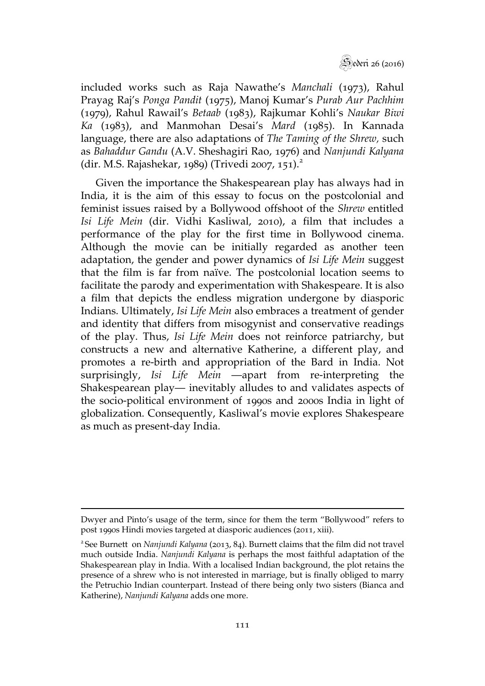Sederi 26 (2016)

included works such as Raja Nawathe's *Manchali* (1973), Rahul Prayag Raj's *Ponga Pandit* (1975), Manoj Kumar's *Purab Aur Pachhim*  (1979), Rahul Rawail's *Betaab* (1983), Rajkumar Kohli's *Naukar Biwi Ka* (1983), and Manmohan Desai's *Mard* (1985). In Kannada language, there are also adaptations of *The Taming of the Shrew,* such as *Bahaddur Gandu* (A.V. Sheshagiri Rao, 1976) and *Nanjundi Kalyana*  (dir. M.S. Rajashekar, 1989) (Trivedi 2007, 151).<sup>2</sup>

Given the importance the Shakespearean play has always had in India, it is the aim of this essay to focus on the postcolonial and feminist issues raised by a Bollywood offshoot of the *Shrew* entitled *Isi Life Mein* (dir. Vidhi Kasliwal, 2010), a film that includes a performance of the play for the first time in Bollywood cinema. Although the movie can be initially regarded as another teen adaptation, the gender and power dynamics of *Isi Life Mein* suggest that the film is far from naïve. The postcolonial location seems to facilitate the parody and experimentation with Shakespeare. It is also a film that depicts the endless migration undergone by diasporic Indians. Ultimately, *Isi Life Mein* also embraces a treatment of gender and identity that differs from misogynist and conservative readings of the play. Thus, *Isi Life Mein* does not reinforce patriarchy, but constructs a new and alternative Katherine, a different play, and promotes a re-birth and appropriation of the Bard in India. Not surprisingly, *Isi Life Mein* —apart from re-interpreting the Shakespearean play— inevitably alludes to and validates aspects of the socio-political environment of 1990s and 2000s India in light of globalization. Consequently, Kasliwal's movie explores Shakespeare as much as present-day India.

 $\overline{a}$ 

Dwyer and Pinto's usage of the term, since for them the term "Bollywood" refers to post 1990s Hindi movies targeted at diasporic audiences (2011, xiii).

<sup>2</sup>See Burnett on *Nanjundi Kalyana* (2013, 84). Burnett claims that the film did not travel much outside India. *Nanjundi Kalyana* is perhaps the most faithful adaptation of the Shakespearean play in India. With a localised Indian background, the plot retains the presence of a shrew who is not interested in marriage, but is finally obliged to marry the Petruchio Indian counterpart. Instead of there being only two sisters (Bianca and Katherine), *Nanjundi Kalyana* adds one more.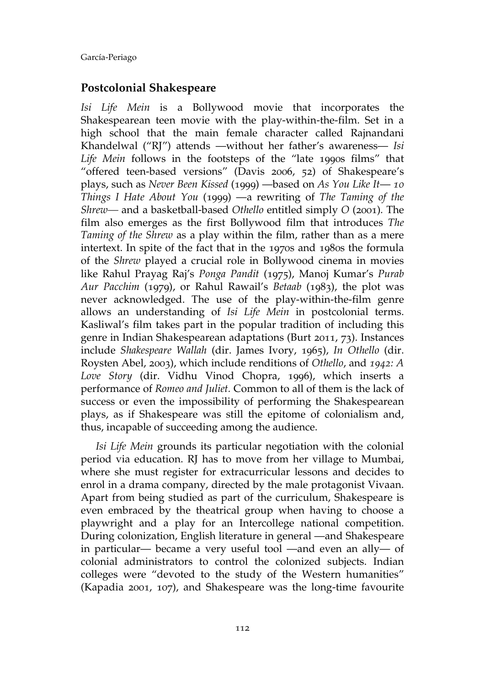## **Postcolonial Shakespeare**

*Isi Life Mein* is a Bollywood movie that incorporates the Shakespearean teen movie with the play-within-the-film. Set in a high school that the main female character called Rajnandani Khandelwal ("RJ") attends —without her father's awareness— *Isi Life Mein* follows in the footsteps of the "late 1990s films" that "offered teen-based versions" (Davis 2006, 52) of Shakespeare's plays, such as *Never Been Kissed* (1999) —based on *As You Like It*— *10 Things I Hate About You* (1999) —a rewriting of *The Taming of the Shrew—* and a basketball-based *Othello* entitled simply *O* (2001)*.* The film also emerges as the first Bollywood film that introduces *The Taming of the Shrew* as a play within the film, rather than as a mere intertext. In spite of the fact that in the 1970s and 1980s the formula of the *Shrew* played a crucial role in Bollywood cinema in movies like Rahul Prayag Raj's *Ponga Pandit* (1975), Manoj Kumar's *Purab Aur Pacchim* (1979), or Rahul Rawail's *Betaab* (1983), the plot was never acknowledged. The use of the play-within-the-film genre allows an understanding of *Isi Life Mein* in postcolonial terms. Kasliwal's film takes part in the popular tradition of including this genre in Indian Shakespearean adaptations (Burt 2011, 73). Instances include *Shakespeare Wallah* (dir. James Ivory, 1965), *In Othello* (dir. Roysten Abel, 2003), which include renditions of *Othello*, and *1942: A Love Story* (dir. Vidhu Vinod Chopra, 1996), which inserts a performance of *Romeo and Juliet.* Common to all of them is the lack of success or even the impossibility of performing the Shakespearean plays, as if Shakespeare was still the epitome of colonialism and, thus, incapable of succeeding among the audience.

*Isi Life Mein* grounds its particular negotiation with the colonial period via education. RJ has to move from her village to Mumbai, where she must register for extracurricular lessons and decides to enrol in a drama company, directed by the male protagonist Vivaan. Apart from being studied as part of the curriculum, Shakespeare is even embraced by the theatrical group when having to choose a playwright and a play for an Intercollege national competition. During colonization, English literature in general —and Shakespeare in particular— became a very useful tool —and even an ally— of colonial administrators to control the colonized subjects. Indian colleges were "devoted to the study of the Western humanities" (Kapadia 2001, 107), and Shakespeare was the long-time favourite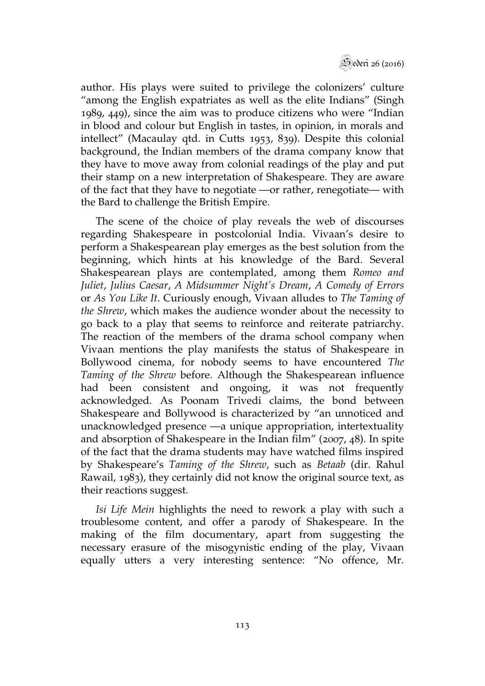

author. His plays were suited to privilege the colonizers' culture "among the English expatriates as well as the elite Indians" (Singh 1989, 449), since the aim was to produce citizens who were "Indian in blood and colour but English in tastes, in opinion, in morals and intellect" (Macaulay qtd. in Cutts 1953, 839). Despite this colonial background, the Indian members of the drama company know that they have to move away from colonial readings of the play and put their stamp on a new interpretation of Shakespeare. They are aware of the fact that they have to negotiate —or rather, renegotiate— with the Bard to challenge the British Empire.

The scene of the choice of play reveals the web of discourses regarding Shakespeare in postcolonial India. Vivaan's desire to perform a Shakespearean play emerges as the best solution from the beginning, which hints at his knowledge of the Bard. Several Shakespearean plays are contemplated, among them *Romeo and Juliet*, *Julius Caesar*, *A Midsummer Night's Dream*, *A Comedy of Errors* or *As You Like It*. Curiously enough, Vivaan alludes to *The Taming of the Shrew*, which makes the audience wonder about the necessity to go back to a play that seems to reinforce and reiterate patriarchy. The reaction of the members of the drama school company when Vivaan mentions the play manifests the status of Shakespeare in Bollywood cinema, for nobody seems to have encountered *The Taming of the Shrew* before. Although the Shakespearean influence had been consistent and ongoing, it was not frequently acknowledged. As Poonam Trivedi claims, the bond between Shakespeare and Bollywood is characterized by "an unnoticed and unacknowledged presence —a unique appropriation, intertextuality and absorption of Shakespeare in the Indian film" (2007, 48). In spite of the fact that the drama students may have watched films inspired by Shakespeare's *Taming of the Shrew*, such as *Betaab* (dir. Rahul Rawail, 1983), they certainly did not know the original source text, as their reactions suggest.

*Isi Life Mein* highlights the need to rework a play with such a troublesome content, and offer a parody of Shakespeare. In the making of the film documentary, apart from suggesting the necessary erasure of the misogynistic ending of the play, Vivaan equally utters a very interesting sentence: "No offence, Mr.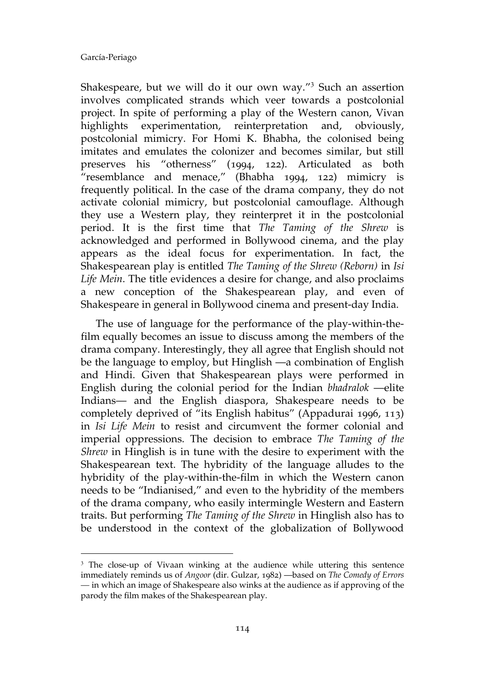$\overline{a}$ 

Shakespeare, but we will do it our own way."<sup>3</sup> Such an assertion involves complicated strands which veer towards a postcolonial project. In spite of performing a play of the Western canon, Vivan highlights experimentation, reinterpretation and, obviously, postcolonial mimicry. For Homi K. Bhabha, the colonised being imitates and emulates the colonizer and becomes similar, but still preserves his "otherness" (1994, 122). Articulated as both "resemblance and menace," (Bhabha 1994, 122) mimicry is frequently political. In the case of the drama company, they do not activate colonial mimicry, but postcolonial camouflage. Although they use a Western play, they reinterpret it in the postcolonial period. It is the first time that *The Taming of the Shrew* is acknowledged and performed in Bollywood cinema, and the play appears as the ideal focus for experimentation. In fact, the Shakespearean play is entitled *The Taming of the Shrew (Reborn)* in *Isi Life Mein*. The title evidences a desire for change, and also proclaims a new conception of the Shakespearean play, and even of Shakespeare in general in Bollywood cinema and present-day India.

The use of language for the performance of the play-within-thefilm equally becomes an issue to discuss among the members of the drama company. Interestingly, they all agree that English should not be the language to employ, but Hinglish —a combination of English and Hindi. Given that Shakespearean plays were performed in English during the colonial period for the Indian *bhadralok* —elite Indians— and the English diaspora, Shakespeare needs to be completely deprived of "its English habitus" (Appadurai 1996, 113) in *Isi Life Mein* to resist and circumvent the former colonial and imperial oppressions. The decision to embrace *The Taming of the Shrew* in Hinglish is in tune with the desire to experiment with the Shakespearean text. The hybridity of the language alludes to the hybridity of the play-within-the-film in which the Western canon needs to be "Indianised," and even to the hybridity of the members of the drama company, who easily intermingle Western and Eastern traits. But performing *The Taming of the Shrew* in Hinglish also has to be understood in the context of the globalization of Bollywood

<sup>&</sup>lt;sup>3</sup> The close-up of Vivaan winking at the audience while uttering this sentence immediately reminds us of *Angoor* (dir. Gulzar, 1982) —based on *The Comedy of Errors —* in which an image of Shakespeare also winks at the audience as if approving of the parody the film makes of the Shakespearean play.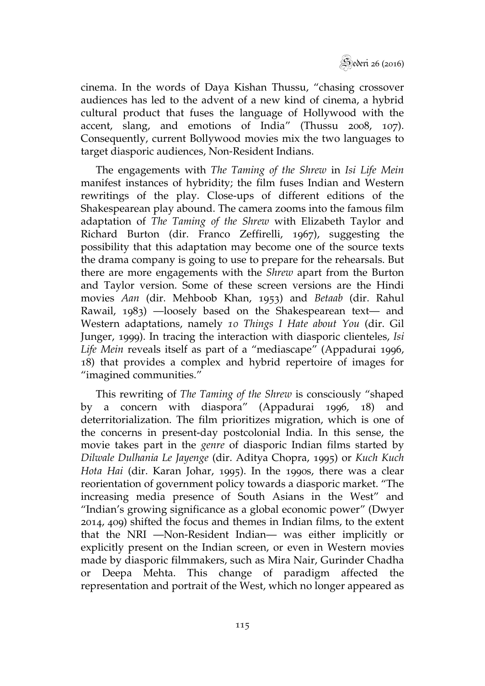

cinema. In the words of Daya Kishan Thussu, "chasing crossover audiences has led to the advent of a new kind of cinema, a hybrid cultural product that fuses the language of Hollywood with the accent, slang, and emotions of India" (Thussu 2008, 107). Consequently, current Bollywood movies mix the two languages to target diasporic audiences, Non-Resident Indians.

The engagements with *The Taming of the Shrew* in *Isi Life Mein*  manifest instances of hybridity; the film fuses Indian and Western rewritings of the play. Close-ups of different editions of the Shakespearean play abound. The camera zooms into the famous film adaptation of *The Taming of the Shrew* with Elizabeth Taylor and Richard Burton (dir. Franco Zeffirelli, 1967), suggesting the possibility that this adaptation may become one of the source texts the drama company is going to use to prepare for the rehearsals. But there are more engagements with the *Shrew* apart from the Burton and Taylor version. Some of these screen versions are the Hindi movies *Aan* (dir. Mehboob Khan, 1953) and *Betaab* (dir. Rahul Rawail, 1983) —loosely based on the Shakespearean text— and Western adaptations, namely *10 Things I Hate about You* (dir. Gil Junger, 1999). In tracing the interaction with diasporic clienteles, *Isi Life Mein* reveals itself as part of a "mediascape" (Appadurai 1996, 18) that provides a complex and hybrid repertoire of images for "imagined communities."

This rewriting of *The Taming of the Shrew* is consciously "shaped by a concern with diaspora" (Appadurai 1996, 18) and deterritorialization. The film prioritizes migration, which is one of the concerns in present-day postcolonial India. In this sense, the movie takes part in the *genre* of diasporic Indian films started by *Dilwale Dulhania Le Jayenge* (dir. Aditya Chopra, 1995) or *Kuch Kuch Hota Hai* (dir. Karan Johar, 1995). In the 1990s, there was a clear reorientation of government policy towards a diasporic market. "The increasing media presence of South Asians in the West" and "Indian's growing significance as a global economic power" (Dwyer 2014, 409) shifted the focus and themes in Indian films, to the extent that the NRI —Non-Resident Indian— was either implicitly or explicitly present on the Indian screen, or even in Western movies made by diasporic filmmakers, such as Mira Nair, Gurinder Chadha or Deepa Mehta. This change of paradigm affected the representation and portrait of the West, which no longer appeared as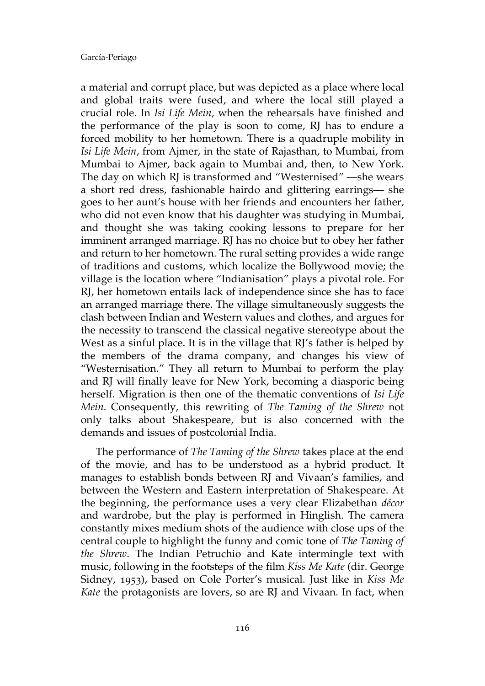a material and corrupt place, but was depicted as a place where local and global traits were fused, and where the local still played a crucial role. In *Isi Life Mein*, when the rehearsals have finished and the performance of the play is soon to come, RJ has to endure a forced mobility to her hometown. There is a quadruple mobility in *Isi Life Mein*, from Ajmer, in the state of Rajasthan, to Mumbai, from Mumbai to Ajmer, back again to Mumbai and, then, to New York. The day on which RJ is transformed and "Westernised" —she wears a short red dress, fashionable hairdo and glittering earrings— she goes to her aunt's house with her friends and encounters her father, who did not even know that his daughter was studying in Mumbai, and thought she was taking cooking lessons to prepare for her imminent arranged marriage. RJ has no choice but to obey her father and return to her hometown. The rural setting provides a wide range of traditions and customs, which localize the Bollywood movie; the village is the location where "Indianisation" plays a pivotal role. For RJ, her hometown entails lack of independence since she has to face an arranged marriage there. The village simultaneously suggests the clash between Indian and Western values and clothes, and argues for the necessity to transcend the classical negative stereotype about the West as a sinful place. It is in the village that RJ's father is helped by the members of the drama company, and changes his view of "Westernisation." They all return to Mumbai to perform the play and RJ will finally leave for New York, becoming a diasporic being herself. Migration is then one of the thematic conventions of *Isi Life Mein*. Consequently, this rewriting of *The Taming of the Shrew* not only talks about Shakespeare, but is also concerned with the demands and issues of postcolonial India.

The performance of *The Taming of the Shrew* takes place at the end of the movie, and has to be understood as a hybrid product. It manages to establish bonds between RJ and Vivaan's families, and between the Western and Eastern interpretation of Shakespeare. At the beginning, the performance uses a very clear Elizabethan *décor*  and wardrobe, but the play is performed in Hinglish. The camera constantly mixes medium shots of the audience with close ups of the central couple to highlight the funny and comic tone of *The Taming of the Shrew*. The Indian Petruchio and Kate intermingle text with music, following in the footsteps of the film *Kiss Me Kate* (dir. George Sidney, 1953), based on Cole Porter's musical. Just like in *Kiss Me Kate* the protagonists are lovers, so are RJ and Vivaan. In fact, when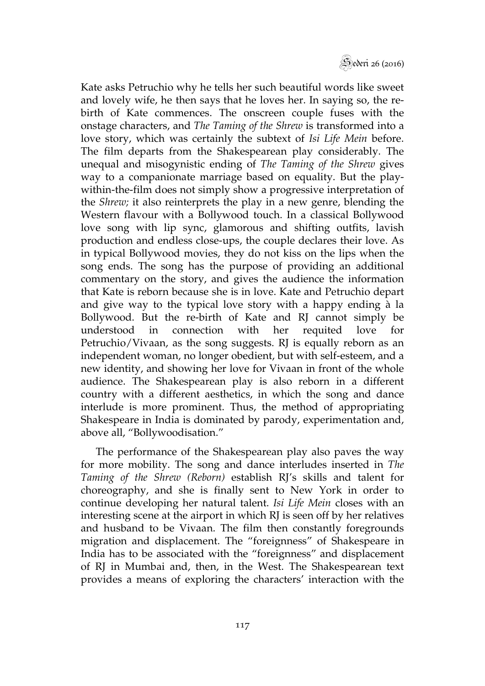

Kate asks Petruchio why he tells her such beautiful words like sweet and lovely wife, he then says that he loves her. In saying so, the rebirth of Kate commences. The onscreen couple fuses with the onstage characters, and *The Taming of the Shrew* is transformed into a love story, which was certainly the subtext of *Isi Life Mein* before. The film departs from the Shakespearean play considerably. The unequal and misogynistic ending of *The Taming of the Shrew* gives way to a companionate marriage based on equality. But the playwithin-the-film does not simply show a progressive interpretation of the *Shrew;* it also reinterprets the play in a new genre, blending the Western flavour with a Bollywood touch. In a classical Bollywood love song with lip sync, glamorous and shifting outfits, lavish production and endless close-ups, the couple declares their love. As in typical Bollywood movies, they do not kiss on the lips when the song ends. The song has the purpose of providing an additional commentary on the story, and gives the audience the information that Kate is reborn because she is in love. Kate and Petruchio depart and give way to the typical love story with a happy ending à la Bollywood. But the re-birth of Kate and RJ cannot simply be understood in connection with her requited love for Petruchio/Vivaan, as the song suggests. RJ is equally reborn as an independent woman, no longer obedient, but with self-esteem, and a new identity, and showing her love for Vivaan in front of the whole audience. The Shakespearean play is also reborn in a different country with a different aesthetics, in which the song and dance interlude is more prominent. Thus, the method of appropriating Shakespeare in India is dominated by parody, experimentation and, above all, "Bollywoodisation."

The performance of the Shakespearean play also paves the way for more mobility. The song and dance interludes inserted in *The Taming of the Shrew (Reborn)* establish RJ's skills and talent for choreography, and she is finally sent to New York in order to continue developing her natural talent. *Isi Life Mein* closes with an interesting scene at the airport in which RI is seen off by her relatives and husband to be Vivaan. The film then constantly foregrounds migration and displacement. The "foreignness" of Shakespeare in India has to be associated with the "foreignness" and displacement of RJ in Mumbai and, then, in the West. The Shakespearean text provides a means of exploring the characters' interaction with the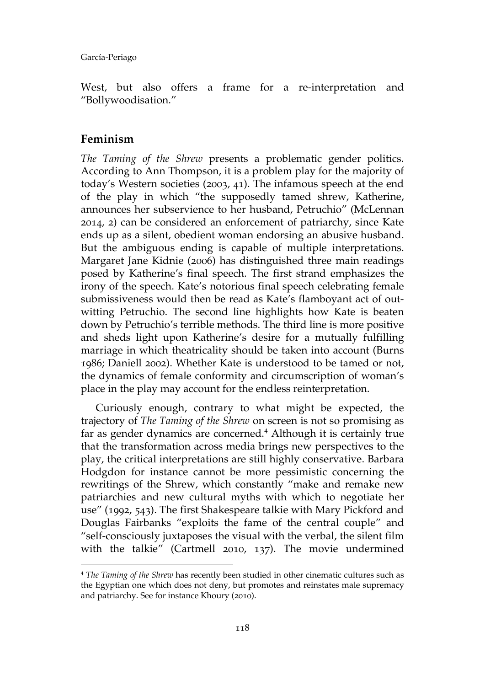West, but also offers a frame for a re-interpretation and "Bollywoodisation."

## **Feminism**

*The Taming of the Shrew* presents a problematic gender politics. According to Ann Thompson, it is a problem play for the majority of today's Western societies (2003, 41). The infamous speech at the end of the play in which "the supposedly tamed shrew, Katherine, announces her subservience to her husband, Petruchio" (McLennan 2014, 2) can be considered an enforcement of patriarchy, since Kate ends up as a silent, obedient woman endorsing an abusive husband. But the ambiguous ending is capable of multiple interpretations. Margaret Jane Kidnie (2006) has distinguished three main readings posed by Katherine's final speech. The first strand emphasizes the irony of the speech. Kate's notorious final speech celebrating female submissiveness would then be read as Kate's flamboyant act of outwitting Petruchio. The second line highlights how Kate is beaten down by Petruchio's terrible methods. The third line is more positive and sheds light upon Katherine's desire for a mutually fulfilling marriage in which theatricality should be taken into account (Burns 1986; Daniell 2002). Whether Kate is understood to be tamed or not, the dynamics of female conformity and circumscription of woman's place in the play may account for the endless reinterpretation.

Curiously enough, contrary to what might be expected, the trajectory of *The Taming of the Shrew* on screen is not so promising as far as gender dynamics are concerned.<sup>4</sup> Although it is certainly true that the transformation across media brings new perspectives to the play, the critical interpretations are still highly conservative. Barbara Hodgdon for instance cannot be more pessimistic concerning the rewritings of the Shrew, which constantly "make and remake new patriarchies and new cultural myths with which to negotiate her use" (1992, 543). The first Shakespeare talkie with Mary Pickford and Douglas Fairbanks "exploits the fame of the central couple" and "self-consciously juxtaposes the visual with the verbal, the silent film with the talkie" (Cartmell 2010, 137). The movie undermined  $\overline{a}$ 

<sup>4</sup> *The Taming of the Shrew* has recently been studied in other cinematic cultures such as the Egyptian one which does not deny, but promotes and reinstates male supremacy and patriarchy. See for instance Khoury (2010).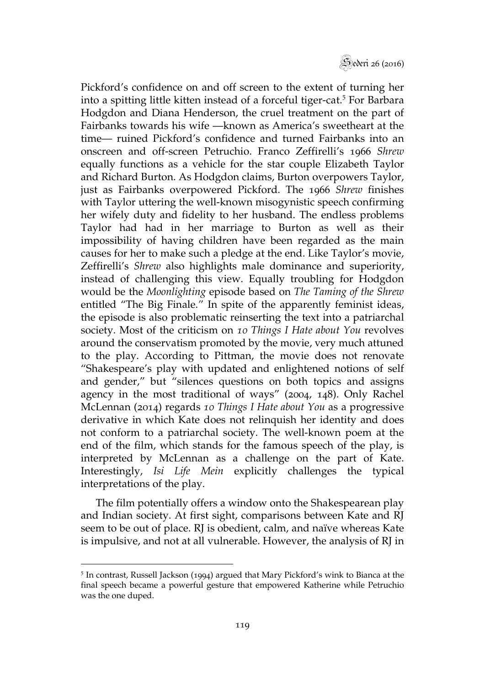

Pickford's confidence on and off screen to the extent of turning her into a spitting little kitten instead of a forceful tiger-cat.<sup>5</sup> For Barbara Hodgdon and Diana Henderson, the cruel treatment on the part of Fairbanks towards his wife —known as America's sweetheart at the time— ruined Pickford's confidence and turned Fairbanks into an onscreen and off-screen Petruchio. Franco Zeffirelli's 1966 *Shrew*  equally functions as a vehicle for the star couple Elizabeth Taylor and Richard Burton. As Hodgdon claims, Burton overpowers Taylor, just as Fairbanks overpowered Pickford. The 1966 *Shrew* finishes with Taylor uttering the well-known misogynistic speech confirming her wifely duty and fidelity to her husband. The endless problems Taylor had had in her marriage to Burton as well as their impossibility of having children have been regarded as the main causes for her to make such a pledge at the end. Like Taylor's movie, Zeffirelli's *Shrew* also highlights male dominance and superiority, instead of challenging this view. Equally troubling for Hodgdon would be the *Moonlighting* episode based on *The Taming of the Shrew*  entitled "The Big Finale." In spite of the apparently feminist ideas, the episode is also problematic reinserting the text into a patriarchal society. Most of the criticism on *10 Things I Hate about You* revolves around the conservatism promoted by the movie, very much attuned to the play. According to Pittman, the movie does not renovate "Shakespeare's play with updated and enlightened notions of self and gender," but "silences questions on both topics and assigns agency in the most traditional of ways" (2004, 148). Only Rachel McLennan (2014) regards *10 Things I Hate about You* as a progressive derivative in which Kate does not relinquish her identity and does not conform to a patriarchal society. The well-known poem at the end of the film, which stands for the famous speech of the play, is interpreted by McLennan as a challenge on the part of Kate. Interestingly, *Isi Life Mein* explicitly challenges the typical interpretations of the play.

The film potentially offers a window onto the Shakespearean play and Indian society. At first sight, comparisons between Kate and RJ seem to be out of place. RJ is obedient, calm, and naïve whereas Kate is impulsive, and not at all vulnerable. However, the analysis of RJ in

 $\overline{a}$ 

<sup>&</sup>lt;sup>5</sup> In contrast, Russell Jackson (1994) argued that Mary Pickford's wink to Bianca at the final speech became a powerful gesture that empowered Katherine while Petruchio was the one duped.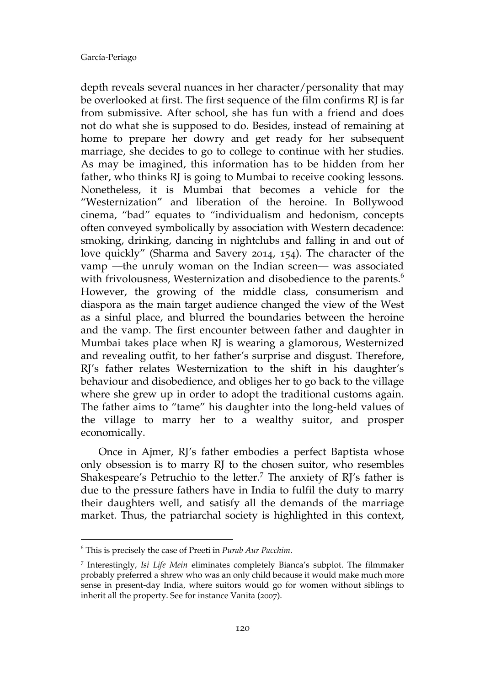depth reveals several nuances in her character/personality that may be overlooked at first. The first sequence of the film confirms RJ is far from submissive. After school, she has fun with a friend and does not do what she is supposed to do. Besides, instead of remaining at home to prepare her dowry and get ready for her subsequent marriage, she decides to go to college to continue with her studies. As may be imagined, this information has to be hidden from her father, who thinks RJ is going to Mumbai to receive cooking lessons. Nonetheless, it is Mumbai that becomes a vehicle for the "Westernization" and liberation of the heroine. In Bollywood cinema, "bad" equates to "individualism and hedonism, concepts often conveyed symbolically by association with Western decadence: smoking, drinking, dancing in nightclubs and falling in and out of love quickly" (Sharma and Savery 2014, 154). The character of the vamp —the unruly woman on the Indian screen— was associated with frivolousness, Westernization and disobedience to the parents.<sup>6</sup> However, the growing of the middle class, consumerism and diaspora as the main target audience changed the view of the West as a sinful place, and blurred the boundaries between the heroine and the vamp. The first encounter between father and daughter in Mumbai takes place when RJ is wearing a glamorous, Westernized and revealing outfit, to her father's surprise and disgust. Therefore, RJ's father relates Westernization to the shift in his daughter's behaviour and disobedience, and obliges her to go back to the village where she grew up in order to adopt the traditional customs again. The father aims to "tame" his daughter into the long-held values of the village to marry her to a wealthy suitor, and prosper economically.

 Once in Ajmer, RJ's father embodies a perfect Baptista whose only obsession is to marry RJ to the chosen suitor, who resembles Shakespeare's Petruchio to the letter.<sup>7</sup> The anxiety of RJ's father is due to the pressure fathers have in India to fulfil the duty to marry their daughters well, and satisfy all the demands of the marriage market. Thus, the patriarchal society is highlighted in this context,

 $\overline{a}$ 

<sup>6</sup> This is precisely the case of Preeti in *Purab Aur Pacchim*.

<sup>7</sup> Interestingly, *Isi Life Mein* eliminates completely Bianca's subplot. The filmmaker probably preferred a shrew who was an only child because it would make much more sense in present-day India, where suitors would go for women without siblings to inherit all the property. See for instance Vanita (2007).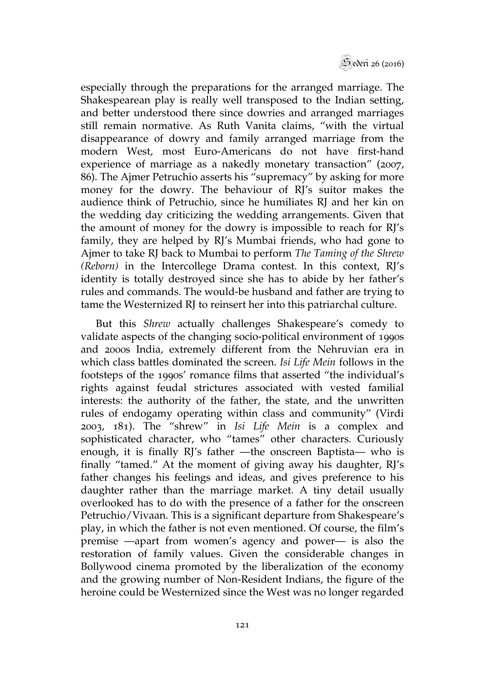

especially through the preparations for the arranged marriage. The Shakespearean play is really well transposed to the Indian setting, and better understood there since dowries and arranged marriages still remain normative. As Ruth Vanita claims, "with the virtual disappearance of dowry and family arranged marriage from the modern West, most Euro-Americans do not have first-hand experience of marriage as a nakedly monetary transaction" (2007, 86). The Ajmer Petruchio asserts his "supremacy" by asking for more money for the dowry. The behaviour of RJ's suitor makes the audience think of Petruchio, since he humiliates RJ and her kin on the wedding day criticizing the wedding arrangements. Given that the amount of money for the dowry is impossible to reach for RJ's family, they are helped by RI's Mumbai friends, who had gone to Ajmer to take RJ back to Mumbai to perform *The Taming of the Shrew (Reborn)* in the Intercollege Drama contest. In this context, RJ's identity is totally destroyed since she has to abide by her father's rules and commands. The would-be husband and father are trying to tame the Westernized RJ to reinsert her into this patriarchal culture.

But this *Shrew* actually challenges Shakespeare's comedy to validate aspects of the changing socio-political environment of 1990s and 2000s India, extremely different from the Nehruvian era in which class battles dominated the screen. *Isi Life Mein* follows in the footsteps of the 1990s' romance films that asserted "the individual's rights against feudal strictures associated with vested familial interests: the authority of the father, the state, and the unwritten rules of endogamy operating within class and community" (Virdi 2003, 181). The "shrew" in *Isi Life Mein* is a complex and sophisticated character, who "tames" other characters. Curiously enough, it is finally RJ's father —the onscreen Baptista— who is finally "tamed." At the moment of giving away his daughter, RJ's father changes his feelings and ideas, and gives preference to his daughter rather than the marriage market. A tiny detail usually overlooked has to do with the presence of a father for the onscreen Petruchio/Vivaan. This is a significant departure from Shakespeare's play, in which the father is not even mentioned. Of course, the film's premise —apart from women's agency and power— is also the restoration of family values. Given the considerable changes in Bollywood cinema promoted by the liberalization of the economy and the growing number of Non-Resident Indians, the figure of the heroine could be Westernized since the West was no longer regarded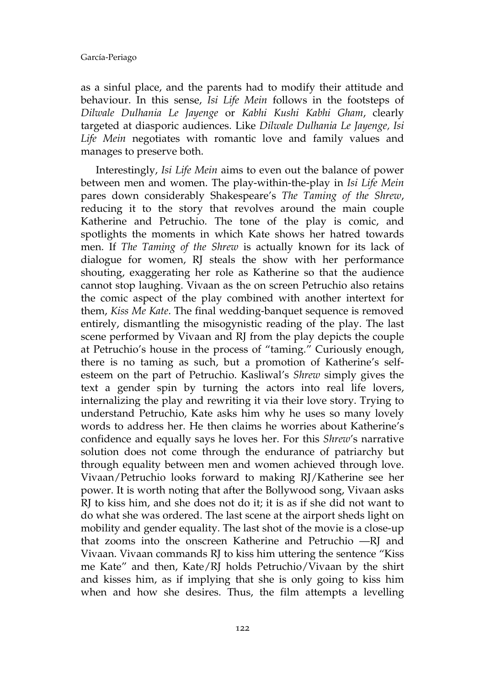as a sinful place, and the parents had to modify their attitude and behaviour. In this sense, *Isi Life Mein* follows in the footsteps of *Dilwale Dulhania Le Jayenge* or *Kabhi Kushi Kabhi Gham*, clearly targeted at diasporic audiences. Like *Dilwale Dulhania Le Jayenge, Isi Life Mein* negotiates with romantic love and family values and manages to preserve both.

Interestingly, *Isi Life Mein* aims to even out the balance of power between men and women. The play-within-the-play in *Isi Life Mein*  pares down considerably Shakespeare's *The Taming of the Shrew*, reducing it to the story that revolves around the main couple Katherine and Petruchio. The tone of the play is comic, and spotlights the moments in which Kate shows her hatred towards men. If *The Taming of the Shrew* is actually known for its lack of dialogue for women, RJ steals the show with her performance shouting, exaggerating her role as Katherine so that the audience cannot stop laughing. Vivaan as the on screen Petruchio also retains the comic aspect of the play combined with another intertext for them, *Kiss Me Kate*. The final wedding-banquet sequence is removed entirely, dismantling the misogynistic reading of the play. The last scene performed by Vivaan and RJ from the play depicts the couple at Petruchio's house in the process of "taming." Curiously enough, there is no taming as such, but a promotion of Katherine's selfesteem on the part of Petruchio. Kasliwal's *Shrew* simply gives the text a gender spin by turning the actors into real life lovers, internalizing the play and rewriting it via their love story. Trying to understand Petruchio, Kate asks him why he uses so many lovely words to address her. He then claims he worries about Katherine's confidence and equally says he loves her. For this *Shrew*'s narrative solution does not come through the endurance of patriarchy but through equality between men and women achieved through love. Vivaan/Petruchio looks forward to making RJ/Katherine see her power. It is worth noting that after the Bollywood song, Vivaan asks RJ to kiss him, and she does not do it; it is as if she did not want to do what she was ordered. The last scene at the airport sheds light on mobility and gender equality. The last shot of the movie is a close-up that zooms into the onscreen Katherine and Petruchio —RJ and Vivaan. Vivaan commands RJ to kiss him uttering the sentence "Kiss me Kate" and then, Kate/RJ holds Petruchio/Vivaan by the shirt and kisses him, as if implying that she is only going to kiss him when and how she desires. Thus, the film attempts a levelling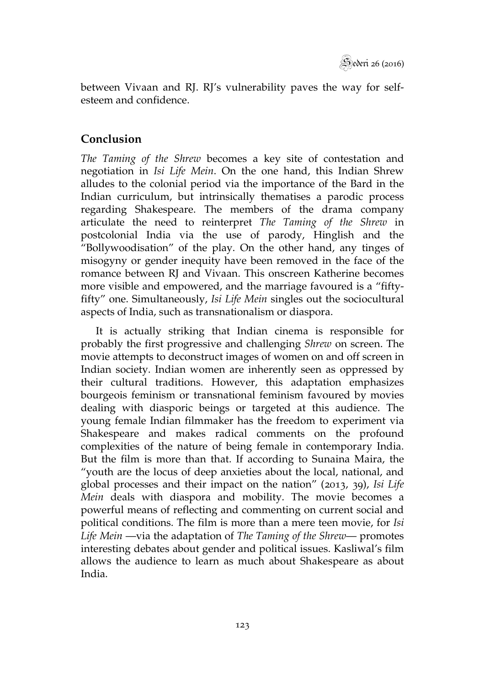between Vivaan and RJ. RJ's vulnerability paves the way for selfesteem and confidence.

## **Conclusion**

*The Taming of the Shrew* becomes a key site of contestation and negotiation in *Isi Life Mein*. On the one hand, this Indian Shrew alludes to the colonial period via the importance of the Bard in the Indian curriculum, but intrinsically thematises a parodic process regarding Shakespeare. The members of the drama company articulate the need to reinterpret *The Taming of the Shrew* in postcolonial India via the use of parody, Hinglish and the "Bollywoodisation" of the play. On the other hand, any tinges of misogyny or gender inequity have been removed in the face of the romance between RJ and Vivaan. This onscreen Katherine becomes more visible and empowered, and the marriage favoured is a "fiftyfifty" one. Simultaneously, *Isi Life Mein* singles out the sociocultural aspects of India, such as transnationalism or diaspora.

It is actually striking that Indian cinema is responsible for probably the first progressive and challenging *Shrew* on screen. The movie attempts to deconstruct images of women on and off screen in Indian society. Indian women are inherently seen as oppressed by their cultural traditions. However, this adaptation emphasizes bourgeois feminism or transnational feminism favoured by movies dealing with diasporic beings or targeted at this audience. The young female Indian filmmaker has the freedom to experiment via Shakespeare and makes radical comments on the profound complexities of the nature of being female in contemporary India. But the film is more than that. If according to Sunaina Maira, the "youth are the locus of deep anxieties about the local, national, and global processes and their impact on the nation" (2013, 39), *Isi Life Mein* deals with diaspora and mobility. The movie becomes a powerful means of reflecting and commenting on current social and political conditions. The film is more than a mere teen movie, for *Isi Life Mein* —via the adaptation of *The Taming of the Shrew*— promotes interesting debates about gender and political issues. Kasliwal's film allows the audience to learn as much about Shakespeare as about India.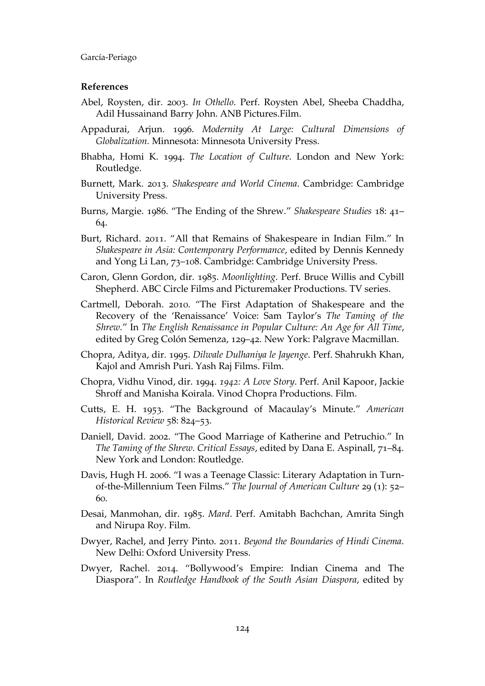#### **References**

- Abel, Roysten, dir. 2003. *In Othello*. Perf. Roysten Abel, Sheeba Chaddha, Adil Hussainand Barry John. ANB Pictures.Film.
- Appadurai, Arjun. 1996. *Modernity At Large: Cultural Dimensions of Globalization.* Minnesota: Minnesota University Press.
- Bhabha, Homi K. 1994. *The Location of Culture*. London and New York: Routledge.
- Burnett, Mark. 2013. *Shakespeare and World Cinema*. Cambridge: Cambridge University Press.
- Burns, Margie. 1986. "The Ending of the Shrew." *Shakespeare Studies* 18: 41– 64.
- Burt, Richard. 2011. "All that Remains of Shakespeare in Indian Film." In *Shakespeare in Asia: Contemporary Performance*, edited by Dennis Kennedy and Yong Li Lan, 73–108. Cambridge: Cambridge University Press.
- Caron, Glenn Gordon, dir. 1985. *Moonlighting*. Perf. Bruce Willis and Cybill Shepherd. ABC Circle Films and Picturemaker Productions. TV series.
- Cartmell, Deborah. 2010. "The First Adaptation of Shakespeare and the Recovery of the 'Renaissance' Voice: Sam Taylor's *The Taming of the Shrew.*" In *The English Renaissance in Popular Culture: An Age for All Time*, edited by Greg Colón Semenza, 129–42. New York: Palgrave Macmillan.
- Chopra, Aditya, dir. 1995. *Dilwale Dulhaniya le Jayenge*. Perf. Shahrukh Khan, Kajol and Amrish Puri. Yash Raj Films. Film.
- Chopra, Vidhu Vinod, dir. 1994. *1942: A Love Story*. Perf. Anil Kapoor, Jackie Shroff and Manisha Koirala. Vinod Chopra Productions. Film.
- Cutts, E. H. 1953. "The Background of Macaulay's Minute." *American Historical Review* 58: 824–53.
- Daniell, David. 2002. "The Good Marriage of Katherine and Petruchio." In *The Taming of the Shrew. Critical Essays*, edited by Dana E. Aspinall, 71–84. New York and London: Routledge.
- Davis, Hugh H. 2006. "I was a Teenage Classic: Literary Adaptation in Turnof-the-Millennium Teen Films." *The Journal of American Culture* 29 (1): 52– 60.
- Desai, Manmohan, dir. 1985. *Mard*. Perf. Amitabh Bachchan, Amrita Singh and Nirupa Roy. Film.
- Dwyer, Rachel, and Jerry Pinto. 2011. *Beyond the Boundaries of Hindi Cinema*. New Delhi: Oxford University Press.
- Dwyer, Rachel. 2014. "Bollywood's Empire: Indian Cinema and The Diaspora". In *Routledge Handbook of the South Asian Diaspora*, edited by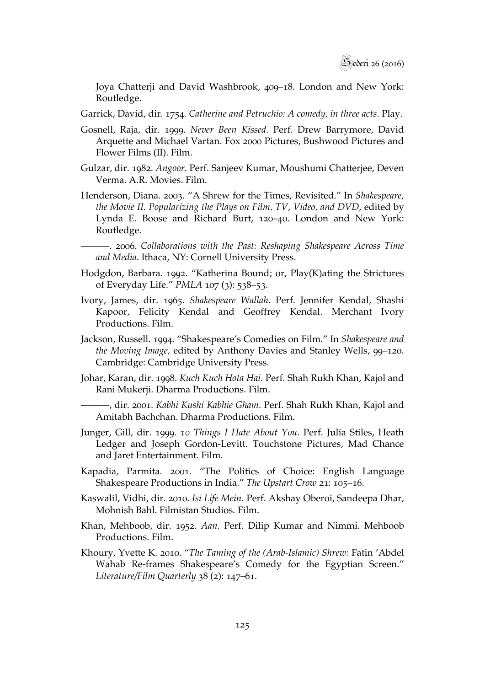Joya Chatterji and David Washbrook, 409–18. London and New York: Routledge.

Garrick, David, dir. 1754. *Catherine and Petruchio: A comedy, in three acts*. Play.

- Gosnell, Raja, dir. 1999. *Never Been Kissed*. Perf. Drew Barrymore, David Arquette and Michael Vartan. Fox 2000 Pictures, Bushwood Pictures and Flower Films (II). Film.
- Gulzar, dir. 1982. *Angoor*. Perf. Sanjeev Kumar, Moushumi Chatterjee, Deven Verma. A.R. Movies. Film.
- Henderson, Diana. 2003. "A Shrew for the Times, Revisited." In *Shakespeare, the Movie II. Popularizing the Plays on Film, TV, Video, and DVD*, edited by Lynda E. Boose and Richard Burt, 120–40. London and New York: Routledge.

———. 2006. *Collaborations with the Past: Reshaping Shakespeare Across Time and Media*. Ithaca, NY: Cornell University Press.

- Hodgdon, Barbara. 1992. "Katherina Bound; or, Play(K)ating the Strictures of Everyday Life." *PMLA* 107 (3): 538–53.
- Ivory, James, dir. 1965. *Shakespeare Wallah*. Perf. Jennifer Kendal, Shashi Kapoor, Felicity Kendal and Geoffrey Kendal. Merchant Ivory Productions. Film.
- Jackson, Russell. 1994. "Shakespeare's Comedies on Film." In *Shakespeare and the Moving Image,* edited by Anthony Davies and Stanley Wells, 99–120. Cambridge: Cambridge University Press.
- Johar, Karan, dir. 1998. *Kuch Kuch Hota Hai*. Perf. Shah Rukh Khan, Kajol and Rani Mukerji. Dharma Productions. Film.

———, dir. 2001. *Kabhi Kushi Kabhie Gham*. Perf. Shah Rukh Khan, Kajol and Amitabh Bachchan. Dharma Productions. Film.

- Junger, Gill, dir. 1999. *10 Things I Hate About You*. Perf. Julia Stiles, Heath Ledger and Joseph Gordon-Levitt. Touchstone Pictures, Mad Chance and Jaret Entertainment. Film.
- Kapadia, Parmita. 2001. "The Politics of Choice: English Language Shakespeare Productions in India." *The Upstart Crow* 21: 105–16.
- Kaswalil, Vidhi, dir. 2010. *Isi Life Mein*. Perf. Akshay Oberoi, Sandeepa Dhar, Mohnish Bahl. Filmistan Studios. Film.
- Khan, Mehboob, dir. 1952. *Aan.* Perf. Dilip Kumar and Nimmi. Mehboob Productions. Film.
- Khoury, Yvette K. 2010. "*The Taming of the (Arab-Islamic) Shrew:* Fatin 'Abdel Wahab Re-frames Shakespeare's Comedy for the Egyptian Screen." *Literature/Film Quarterly* 38 (2): 147–61.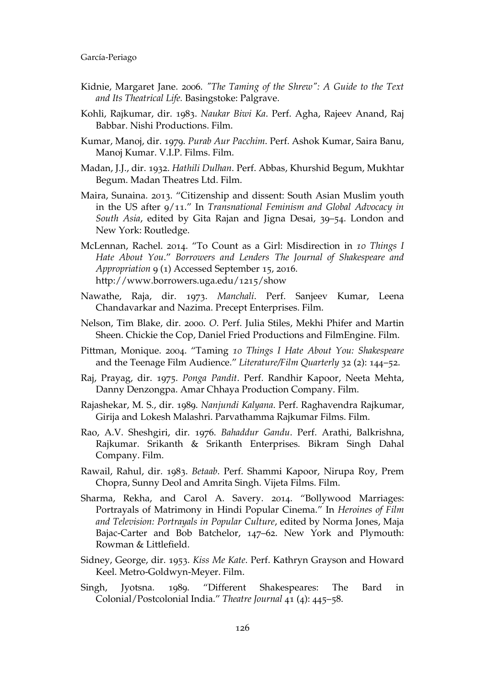- Kidnie, Margaret Jane. 2006. *"The Taming of the Shrew": A Guide to the Text and Its Theatrical Life.* Basingstoke: Palgrave.
- Kohli, Rajkumar, dir. 1983. *Naukar Biwi Ka*. Perf. Agha, Rajeev Anand, Raj Babbar. Nishi Productions. Film.
- Kumar, Manoj, dir. 1979. *Purab Aur Pacchim*. Perf. Ashok Kumar, Saira Banu, Manoj Kumar. V.I.P. Films. Film.
- Madan, J.J., dir. 1932. *Hathili Dulhan*. Perf. Abbas, Khurshid Begum, Mukhtar Begum. Madan Theatres Ltd. Film.
- Maira, Sunaina. 2013. "Citizenship and dissent: South Asian Muslim youth in the US after 9/11." In *Transnational Feminism and Global Advocacy in South Asia*, edited by Gita Rajan and Jigna Desai, 39–54. London and New York: Routledge.
- McLennan, Rachel. 2014. "To Count as a Girl: Misdirection in *10 Things I Hate About You*." *Borrowers and Lenders The Journal of Shakespeare and Appropriation* 9 (1) Accessed September 15, 2016. http://www.borrowers.uga.edu/1215/show
- Nawathe, Raja, dir. 1973. *Manchali*. Perf. Sanjeev Kumar, Leena Chandavarkar and Nazima. Precept Enterprises. Film.
- Nelson, Tim Blake, dir. 2000. *O*. Perf. Julia Stiles, Mekhi Phifer and Martin Sheen. Chickie the Cop, Daniel Fried Productions and FilmEngine. Film.
- Pittman, Monique. 2004. "Taming *10 Things I Hate About You: Shakespeare*  and the Teenage Film Audience." *Literature/Film Quarterly* 32 (2): 144–52.
- Raj, Prayag, dir. 1975. *Ponga Pandit*. Perf. Randhir Kapoor, Neeta Mehta, Danny Denzongpa. Amar Chhaya Production Company. Film.
- Rajashekar, M. S., dir. 1989. *Nanjundi Kalyana*. Perf. Raghavendra Rajkumar, Girija and Lokesh Malashri. Parvathamma Rajkumar Films. Film.
- Rao, A.V. Sheshgiri, dir. 1976. *Bahaddur Gandu*. Perf. Arathi, Balkrishna, Rajkumar. Srikanth & Srikanth Enterprises. Bikram Singh Dahal Company. Film.
- Rawail, Rahul, dir. 1983. *Betaab*. Perf. Shammi Kapoor, Nirupa Roy, Prem Chopra, Sunny Deol and Amrita Singh. Vijeta Films. Film.
- Sharma, Rekha, and Carol A. Savery. 2014. "Bollywood Marriages: Portrayals of Matrimony in Hindi Popular Cinema." In *Heroines of Film and Television: Portrayals in Popular Culture*, edited by Norma Jones, Maja Bajac-Carter and Bob Batchelor, 147–62. New York and Plymouth: Rowman & Littlefield.
- Sidney, George, dir. 1953. *Kiss Me Kate*. Perf. Kathryn Grayson and Howard Keel. Metro-Goldwyn-Meyer. Film.
- Singh, Jyotsna. 1989. "Different Shakespeares: The Bard in Colonial/Postcolonial India." *Theatre Journal* 41 (4): 445–58.